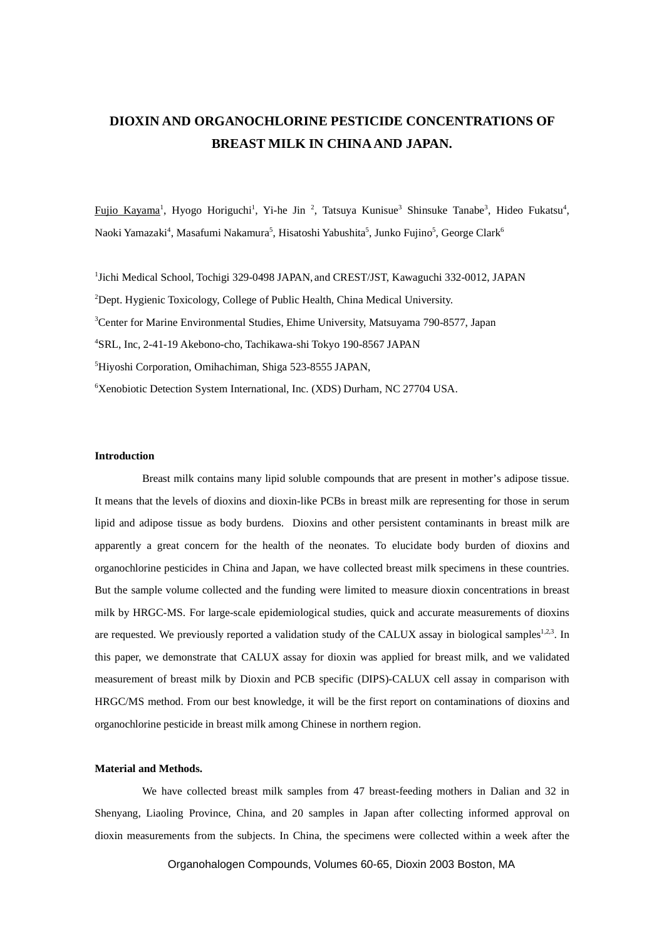# **DIOXIN AND ORGANOCHLORINE PESTICIDE CONCENTRATIONS OF BREAST MILK IN CHINA AND JAPAN.**

Fujio Kayama<sup>1</sup>, Hyogo Horiguchi<sup>1</sup>, Yi-he Jin<sup>2</sup>, Tatsuya Kunisue<sup>3</sup> Shinsuke Tanabe<sup>3</sup>, Hideo Fukatsu<sup>4</sup>, Naoki Yamazaki $^4$ , Masafumi Nakamura $^5$ , Hisatoshi Yabushita $^5$ , Junko Fujino $^5$ , George Clark $^6$ 

<sup>1</sup>Jichi Medical School, Tochigi 329-0498 JAPAN, and CREST/JST, Kawaguchi 332-0012, JAPAN Dept. Hygienic Toxicology, College of Public Health, China Medical University. <sup>3</sup>Center for Marine Environmental Studies, Ehime University, Matsuyama 790-8577, Japan SRL, Inc, 2-41-19 Akebono-cho, Tachikawa-shi Tokyo 190-8567 JAPAN Hiyoshi Corporation, Omihachiman, Shiga 523-8555 JAPAN, Xenobiotic Detection System International, Inc. (XDS) Durham, NC 27704 USA.

# **Introduction**

Breast milk contains many lipid soluble compounds that are present in mother's adipose tissue. It means that the levels of dioxins and dioxin-like PCBs in breast milk are representing for those in serum lipid and adipose tissue as body burdens. Dioxins and other persistent contaminants in breast milk are apparently a great concern for the health of the neonates. To elucidate body burden of dioxins and organochlorine pesticides in China and Japan, we have collected breast milk specimens in these countries. But the sample volume collected and the funding were limited to measure dioxin concentrations in breast milk by HRGC-MS. For large-scale epidemiological studies, quick and accurate measurements of dioxins are requested. We previously reported a validation study of the CALUX assay in biological samples<sup>1,2,3</sup>. In this paper, we demonstrate that CALUX assay for dioxin was applied for breast milk, and we validated measurement of breast milk by Dioxin and PCB specific (DIPS)-CALUX cell assay in comparison with HRGC/MS method. From our best knowledge, it will be the first report on contaminations of dioxins and organochlorine pesticide in breast milk among Chinese in northern region.

# **Material and Methods.**

We have collected breast milk samples from 47 breast-feeding mothers in Dalian and 32 in Shenyang, Liaoling Province, China, and 20 samples in Japan after collecting informed approval on dioxin measurements from the subjects. In China, the specimens were collected within a week after the

Organohalogen Compounds, Volumes 60-65, Dioxin 2003 Boston, MA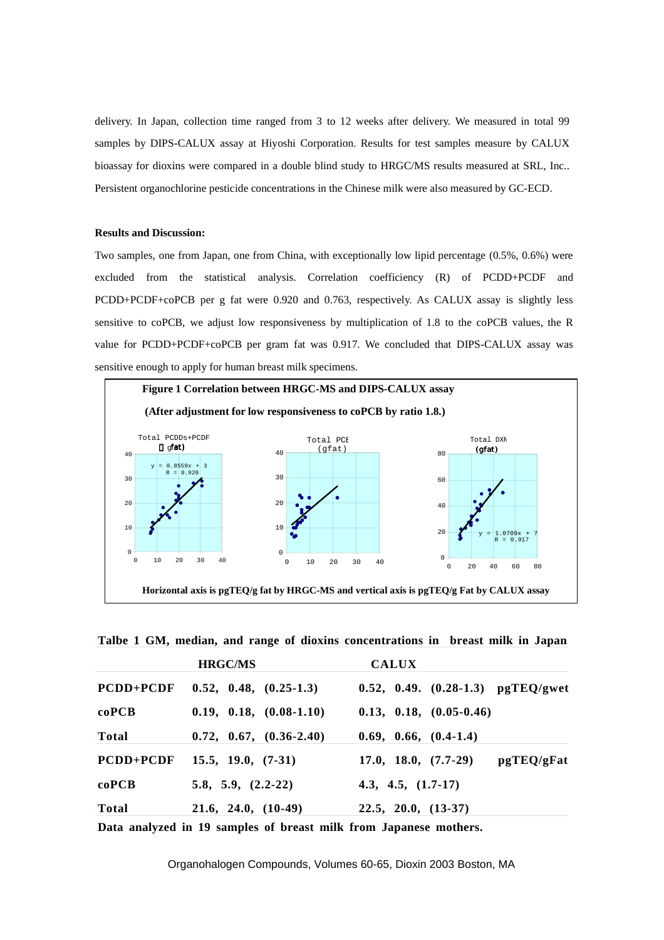delivery. In Japan, collection time ranged from 3 to 12 weeks after delivery. We measured in total 99 samples by DIPS-CALUX assay at Hiyoshi Corporation. Results for test samples measure by CALUX bioassay for dioxins were compared in a double blind study to HRGC/MS results measured at SRL, Inc.. Persistent organochlorine pesticide concentrations in the Chinese milk were also measured by GC-ECD.

## **Results and Discussion:**

Two samples, one from Japan, one from China, with exceptionally low lipid percentage (0.5%, 0.6%) were excluded from the statistical analysis. Correlation coefficiency (R) of PCDD+PCDF and PCDD+PCDF+coPCB per g fat were 0.920 and 0.763, respectively. As CALUX assay is slightly less sensitive to coPCB, we adjust low responsiveness by multiplication of 1.8 to the coPCB values, the R value for PCDD+PCDF+coPCB per gram fat was 0.917. We concluded that DIPS-CALUX assay was sensitive enough to apply for human breast milk specimens.



**Talbe 1 GM, median, and range of dioxins concentrations in breast milk in Japan**

|                  | <b>HRGC/MS</b>            | <b>CALUX</b>                         |
|------------------|---------------------------|--------------------------------------|
| <b>PCDD+PCDF</b> | $0.52, 0.48, (0.25-1.3)$  | 0.52, 0.49. $(0.28-1.3)$ pgTEQ/gwet  |
| coPCB            | $0.19, 0.18, (0.08-1.10)$ | $0.13, 0.18, (0.05-0.46)$            |
| Total            | $0.72, 0.67, (0.36-2.40)$ | $0.69, 0.66, (0.4-1.4)$              |
| <b>PCDD+PCDF</b> | $15.5, 19.0, (7-31)$      | $17.0, 18.0, (7.7-29)$<br>pgTEQ/gFat |
| coPCB            | $5.8, 5.9, (2.2-22)$      | 4.3, 4.5, $(1.7-17)$                 |
| Total            | $21.6, 24.0, (10-49)$     | $22.5, 20.0, (13-37)$                |

**Data analyzed in 19 samples of breast milk from Japanese mothers.**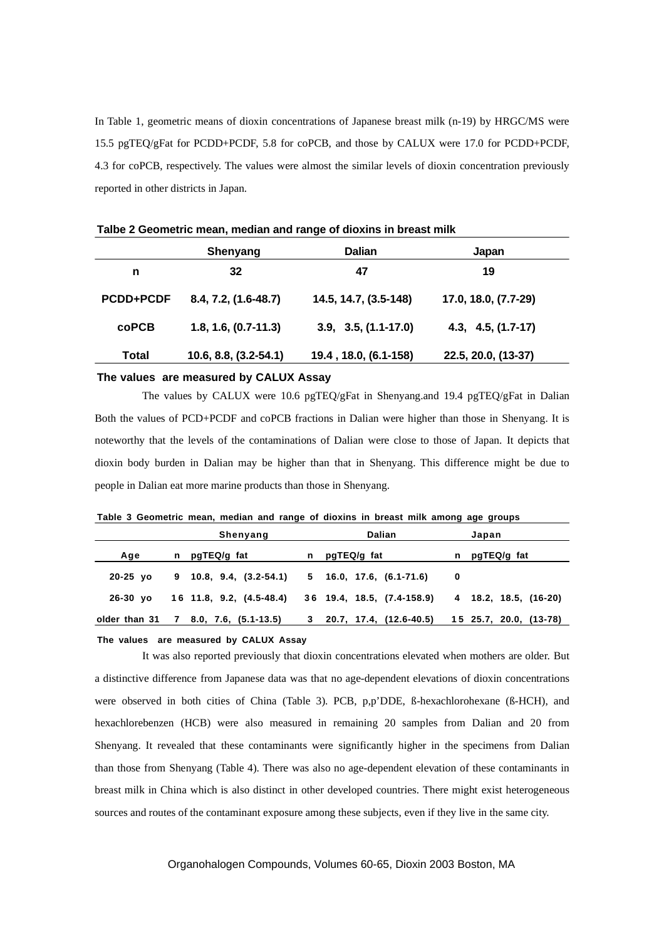In Table 1, geometric means of dioxin concentrations of Japanese breast milk (n-19) by HRGC/MS were 15.5 pgTEQ/gFat for PCDD+PCDF, 5.8 for coPCB, and those by CALUX were 17.0 for PCDD+PCDF, 4.3 for coPCB, respectively. The values were almost the similar levels of dioxin concentration previously reported in other districts in Japan.

|                  | Shenyang                | Dalian                 | Japan                |
|------------------|-------------------------|------------------------|----------------------|
| n                | 32                      | 47                     | 19                   |
| <b>PCDD+PCDF</b> | $8.4, 7.2, (1.6-48.7)$  | 14.5, 14.7, (3.5-148)  | 17.0, 18.0, (7.7-29) |
| <b>coPCB</b>     | $1.8, 1.6, (0.7-11.3)$  | $3.9, 3.5, (1.1-17.0)$ | $4.3, 4.5, (1.7-17)$ |
| <b>Total</b>     | $10.6, 8.8, (3.2-54.1)$ | 19.4, 18.0, (6.1-158)  | 22.5, 20.0, (13-37)  |

**Talbe 2 Geometric mean, median and range of dioxins in breast milk**

#### **The values are measured by CALUX Assay**

The values by CALUX were 10.6 pgTEQ/gFat in Shenyang.and 19.4 pgTEQ/gFat in Dalian Both the values of PCD+PCDF and coPCB fractions in Dalian were higher than those in Shenyang. It is noteworthy that the levels of the contaminations of Dalian were close to those of Japan. It depicts that dioxin body burden in Dalian may be higher than that in Shenyang. This difference might be due to people in Dalian eat more marine products than those in Shenyang.

**Table 3 Geometric mean, median and range of dioxins in breast milk among age groups**

|               | Shenyang                  | <b>Dalian</b>               |   | Japan                  |
|---------------|---------------------------|-----------------------------|---|------------------------|
| Age           | n pgTEQ/g fat             | n pgTEQ/g fat               |   | n pgTEQ/g fat          |
| $20-25$ yo    | $9$ 10.8, 9.4, (3.2-54.1) | $5$ 16.0, 17.6, (6.1-71.6)  | 0 |                        |
| $26-30$ vo    | 16 11.8, 9.2, (4.5-48.4)  | 36 19.4, 18.5, (7.4-158.9)  |   | 4 18.2, 18.5, (16-20)  |
| older than 31 | 7 8.0, 7.6, (5.1-13.5)    | $3$ 20.7, 17.4, (12.6-40.5) |   | 15 25.7, 20.0, (13-78) |
|               |                           |                             |   |                        |

#### **The values are measured by CALUX Assay**

It was also reported previously that dioxin concentrations elevated when mothers are older. But a distinctive difference from Japanese data was that no age-dependent elevations of dioxin concentrations were observed in both cities of China (Table 3). PCB, p,p'DDE, ß-hexachlorohexane (ß-HCH), and hexachlorebenzen (HCB) were also measured in remaining 20 samples from Dalian and 20 from Shenyang. It revealed that these contaminants were significantly higher in the specimens from Dalian than those from Shenyang (Table 4). There was also no age-dependent elevation of these contaminants in breast milk in China which is also distinct in other developed countries. There might exist heterogeneous sources and routes of the contaminant exposure among these subjects, even if they live in the same city.